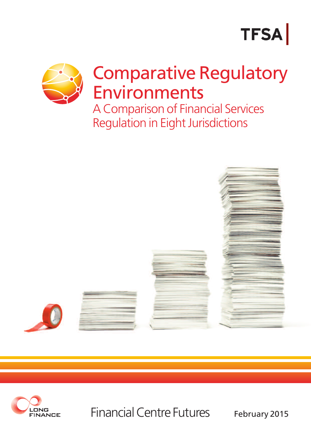# **TFSA**



Regulation in Eight Jurisdictions





Financial Centre Futures February 2015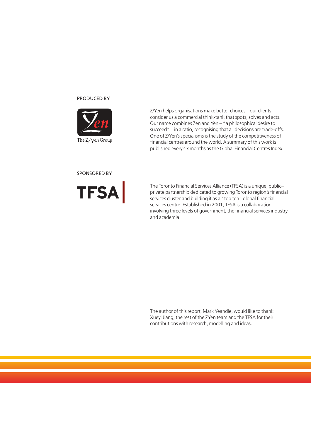#### PRODUCED BY



Z/Yen helps organisations make better choices – our clients consider us a commercial think-tank that spots, solves and acts. Our name combines Zen and Yen – "a philosophical desire to succeed" – in a ratio, recognising that all decisions are trade-offs. One of Z/Yen's specialisms is the study of the competitiveness of financial centres around the world. A summary of this work is published every six months as the Global Financial Centres Index.

SPONSORED BY



The Toronto Financial Services Alliance (TFSA) is a unique, public– private partnership dedicated to growing Toronto region's financial services cluster and building it as a "top ten" global financial services centre. Established in 2001, TFSA is a collaboration involving three levels of government, the financial services industry and academia.

The author of this report, Mark Yeandle, would like to thank Xueyi Jiang, the rest of the ZYen team and the TFSA for their contributions with research, modelling and ideas.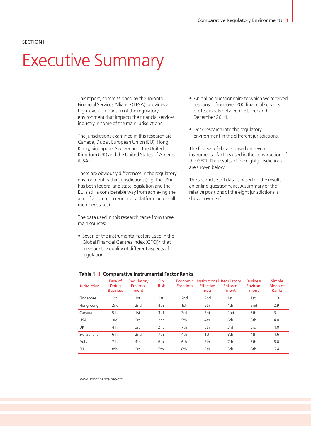#### SECTION I

## Executive Summary

This report, commissioned by the Toronto Financial Services Alliance (TFSA), provides a high level comparison of the regulatory environment that impacts the financial services industry in some of the main jurisdictions.

The jurisdictions examined in this research are Canada, Dubai, European Union (EU), Hong Kong, Singapore, Switzerland, the United Kingdom (UK) and the United States of America (USA).

There are obviously differences in the regulatory environment within jurisdictions (e.g. the USA has both federal and state legislation and the EU is still a considerable way from achieving the aim of a common regulatory platform across all member states).

The data used in this research came from three main sources:

• Seven of the instrumental factors used in the Global Financial Centres Index (GFCI)\* that measure the quality of different aspects of regulation.

- An online questionnaire to which we received responses from over 200 financial services professionals between October and December 2014.
- Desk research into the regulatory environment in the different jurisdictions.

The first set of data is based on seven instrumental factors used in the construction of the GFCI. The results of the eight jurisdictions are shown below.

The second set of data is based on the results of an online questionnaire. A summary of the relative positions of the eight jurisdictions is shown overleaf.

| <b>Jurisdiction</b> | Ease of<br>Doing<br><b>Business</b> | Regulatory<br>Environ-<br>ment | Op.<br><b>Risk</b> | Economic<br>Freedom | Institutional Regulatory<br><b>Effective-</b><br>ness | Enforce-<br>ment | <b>Business</b><br>Environ-<br>ment | <b>Simple</b><br>Mean of<br><b>Ranks</b> |
|---------------------|-------------------------------------|--------------------------------|--------------------|---------------------|-------------------------------------------------------|------------------|-------------------------------------|------------------------------------------|
| Singapore           | 1st                                 | 1st                            | 1st                | 2 <sub>nd</sub>     | 2 <sub>nd</sub>                                       | 1st              | 1st                                 | 1.3                                      |
| Hong Kong           | 2 <sub>nd</sub>                     | 2 <sub>nd</sub>                | 4th                | 1st                 | 5th                                                   | 4th              | 2 <sub>nd</sub>                     | 2.9                                      |
| Canada              | 5th                                 | 1st                            | 3rd                | 3rd                 | 3rd                                                   | 2nd              | 5th                                 | 3.1                                      |
| <b>USA</b>          | 3rd                                 | 3rd                            | 2 <sub>nd</sub>    | 5th                 | 4th                                                   | 6th              | 5th                                 | 4.0                                      |
| <b>UK</b>           | 4th                                 | 3rd                            | 2 <sub>nd</sub>    | 7th                 | 6th                                                   | 3rd              | 3rd                                 | 4.0                                      |
| Switzerland         | 6th                                 | 2 <sub>nd</sub>                | 7th                | 4th                 | 1st                                                   | 8th              | 4th                                 | 4.6                                      |
| Dubai               | 7th                                 | 4th                            | 6th                | 6th                 | 7th                                                   | 7th              | 5th                                 | 6.0                                      |
| EU                  | 8th                                 | 3rd                            | 5th                | 8th                 | 8th                                                   | 5th              | 8th                                 | 6.4                                      |
|                     |                                     |                                |                    |                     |                                                       |                  |                                     |                                          |

#### **Table 1 | Comparative Instrumental Factor Ranks**

\*www.longfinance.net/gfci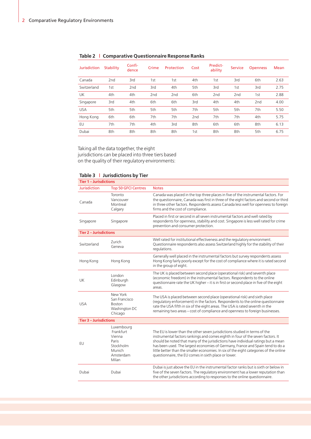| <b>Jurisdiction</b> | <b>Stability</b> | Confi-<br>dence | Crime | Protection      | Cost            | Predict-<br>ability | <b>Service</b>  | <b>Openness</b> | Mean |
|---------------------|------------------|-----------------|-------|-----------------|-----------------|---------------------|-----------------|-----------------|------|
| Canada              | 2 <sub>nd</sub>  | 3rd             | 1st   | 1st             | 4th             | 1st                 | 3rd             | 6th             | 2.63 |
| Switzerland         | 1st              | 2 <sub>nd</sub> | 3rd   | 4th             | 5th             | 3rd                 | 1st             | 3rd             | 2.75 |
| <b>UK</b>           | 4th              | 4th             | 2nd   | 2 <sub>nd</sub> | 6th             | 2 <sub>nd</sub>     | 2 <sub>nd</sub> | 1st             | 2.88 |
| Singapore           | 3rd              | 4th             | 6th   | 6th             | 3rd             | 4th                 | 4th             | 2 <sub>nd</sub> | 4.00 |
| <b>USA</b>          | 5th              | 5th             | 5th   | 5th             | 7th             | 5th                 | 5th             | 7th             | 5.50 |
| Hong Kong           | 6th              | 6th             | 7th   | 7th             | 2 <sub>nd</sub> | 7th                 | 7th             | 4th             | 5.75 |
| EU                  | 7th              | 7th             | 4th   | 3rd             | 8th             | 6th                 | 6th             | 8th             | 6.13 |
| Dubai               | 8th              | 8th             | 8th   | 8th             | 1st             | 8th                 | 8th             | 5th             | 6.75 |

## **Table 2 | Comparative Questionnaire Response Ranks**

Taking all the data together, the eight jurisdictions can be placed into three tiers based on the quality of their regulatory environments:

## **Table 3 | Jurisdictions by Tier**

| Tier 1 – Jurisdictions        |                                                                                         |                                                                                                                                                                                                                                                                                                                                                                                                                                                                                        |
|-------------------------------|-----------------------------------------------------------------------------------------|----------------------------------------------------------------------------------------------------------------------------------------------------------------------------------------------------------------------------------------------------------------------------------------------------------------------------------------------------------------------------------------------------------------------------------------------------------------------------------------|
| <b>Jurisdiction</b>           | <b>Top 50 GFCI Centres</b>                                                              | <b>Notes</b>                                                                                                                                                                                                                                                                                                                                                                                                                                                                           |
| Canada                        | Toronto<br>Vancouver<br>Montreal<br>Calgary                                             | Canada was placed in the top three places in five of the instrumental factors. For<br>the questionnaire, Canada was first in three of the eight factors and second or third<br>in three other factors. Respondents assess Canada less well for openness to foreign<br>firms and the cost of compliance.                                                                                                                                                                                |
| Singapore                     | Singapore                                                                               | Placed in first or second in all seven instrumental factors and well rated by<br>respondents for openness, stability and cost. Singapore is less well rated for crime<br>prevention and consumer protection.                                                                                                                                                                                                                                                                           |
| <b>Tier 2 - Jurisdictions</b> |                                                                                         |                                                                                                                                                                                                                                                                                                                                                                                                                                                                                        |
| Switzerland                   | Zurich<br>Geneva                                                                        | Well rated for institutional effectiveness and the regulatory environment.<br>Questionnaire respondents also assess Switzerland highly for the stability of their<br>regulations.                                                                                                                                                                                                                                                                                                      |
| Hong Kong                     | Hong Kong                                                                               | Generally well placed in the instrumental factors but survey respondents assess<br>Hong Kong fairly poorly except for the cost of compliance where it is rated second<br>in the group of eight.                                                                                                                                                                                                                                                                                        |
| UK                            | London<br>Edinburgh<br>Glasgow                                                          | The UK is placed between second place (operational risk) and seventh place<br>(economic freedom) in the instrumental factors. Respondents to the online<br>questionnaire rate the UK higher - it is in first or second place in five of the eight<br>areas.                                                                                                                                                                                                                            |
| <b>USA</b>                    | New York<br>San Francisco<br><b>Boston</b><br>Washington DC<br>Chicago                  | The USA is placed between second place (operational risk) and sixth place<br>(regulatory enforcement) in the factors. Respondents to the online questionnaire<br>rate the USA fifth in six of the eight areas. The USA is rated seventh in the<br>remaining two areas - cost of compliance and openness to foreign businesses.                                                                                                                                                         |
| <b>Tier 3 - Jurisdictions</b> |                                                                                         |                                                                                                                                                                                                                                                                                                                                                                                                                                                                                        |
| EU                            | Luxembourg<br>Frankfurt<br>Vienna<br>Paris<br>Stockholm<br>Munich<br>Amsterdam<br>Milan | The EU is lower than the other seven jurisdictions studied in terms of the<br>instrumental factors rankings and comes eighth in four of the seven factors. It<br>should be noted that many of the jurisdictions have individual ratings but a mean<br>has been used. The largest economies of Germany, France and Spain tend to do a<br>little better than the smaller economies. In six of the eight categories of the online<br>questionnaire, the EU comes in sixth place or lower. |
| Dubai                         | Dubai                                                                                   | Dubai is just above the EU in the instrumental factor ranks but is sixth or below in<br>five of the seven factors. The regulatory environment has a lower reputation than<br>the other jurisdictions according to responses to the online questionnaire.                                                                                                                                                                                                                               |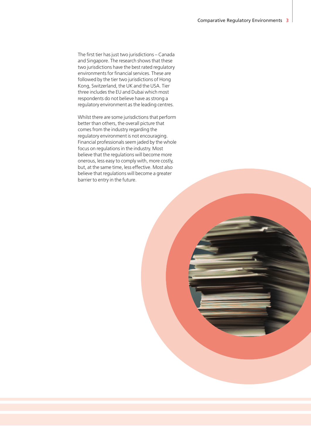The first tier has just two jurisdictions – Canada and Singapore. The research shows that these two jurisdictions have the best rated regulatory environments for financial services. These are followed by the tier two jurisdictions of Hong Kong, Switzerland, the UK and the USA. Tier three includes the EU and Dubai which most respondents do not believe have as strong a regulatory environment as the leading centres.

Whilst there are some jurisdictions that perform better than others, the overall picture that comes from the industry regarding the regulatory environment is not encouraging. Financial professionals seem jaded by the whole focus on regulations in the industry. Most believe that the regulations will become more onerous, less easy to comply with, more costly, but, at the same time, less effective. Most also believe that regulations will become a greater barrier to entry in the future.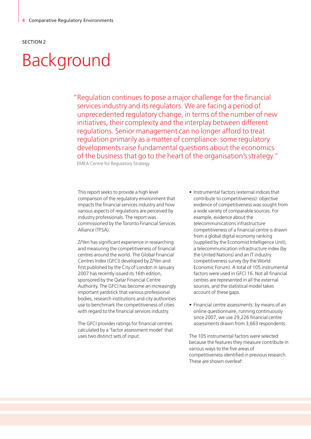# Background

"Regulation continues to pose a major challenge for the financial services industry and its regulators. We are facing a period of unprecedented regulatory change, in terms of the number of new initiatives, their complexity and the interplay between different regulations. Senior management can no longer afford to treat regulation primarily as a matter of compliance: some regulatory developments raise fundamental questions about the economics of the business that go to the heart of the organisation's strategy."

EMEA Centre for Regulatory Strategy

This report seeks to provide a high level comparison of the regulatory environment that impacts the financial services industry and how various aspects of regulations are perceived by industry professionals. The report was commissioned by the Toronto Financial Services Alliance (TFSA).

Z/Yen has significant experience in researching and measuring the competitiveness of financial centres around the world. The Global Financial Centres Index (GFCI) developed by Z/Yen and first published by the City of London in January 2007 has recently issued its 16th edition, sponsored by the Qatar Financial Centre Authority. The GFCI has become an increasingly important yardstick that various professional bodies, research institutions and city authorities use to benchmark the competitiveness of cities with regard to the financial services industry.

The GFCI provides ratings for financial centres calculated by a 'factor assessment model' that uses two distinct sets of input:

- Instrumental factors (external indices that contribute to competitiveness): objective evidence of competitiveness was sought from a wide variety of comparable sources. For example, evidence about the telecommunications infrastructure competitiveness of a financial centre is drawn from a global digital economy ranking (supplied by the Economist Intelligence Unit), a telecommunication infrastructure index (by the United Nations) and an IT industry competitiveness survey (by the World Economic Forum). A total of 105 instrumental factors were used in GFCI 16. Not all financial centres are represented in all the external sources, and the statistical model takes account of these gaps.
- Financial centre assessments: by means of an online questionnaire, running continuously since 2007, we use 29,226 financial centre assessments drawn from 3,663 respondents.

The 105 instrumental factors were selected because the features they measure contribute in various ways to the five areas of competitiveness identified in previous research. These are shown overleaf: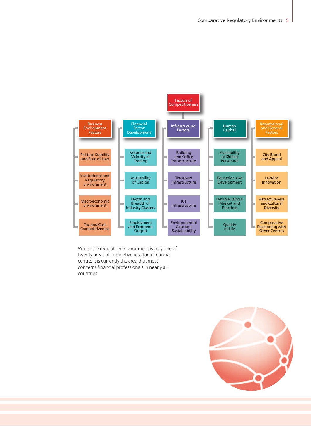

Whilst the regulatory environment is only one of twenty areas of competiveness for a financial centre, it is currently the area that most concerns financial professionals in nearly all countries.

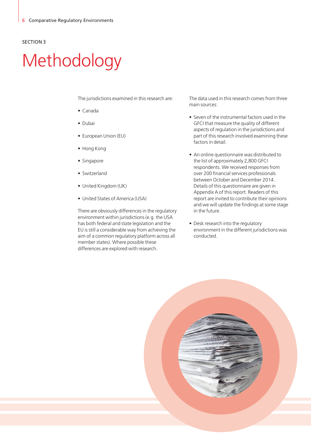# Methodology

The jurisdictions examined in this research are:

- Canada
- Dubai
- European Union (EU)
- Hong Kong
- Singapore
- Switzerland
- United Kingdom (UK)
- United States of America (USA)

There are obviously differences in the regulatory environment within jurisdictions (e.g. the USA has both federal and state legislation and the EU is still a considerable way from achieving the aim of a common regulatory platform across all member states). Where possible these differences are explored with research.

The data used in this research comes from three main sources:

- Seven of the instrumental factors used in the GFCI that measure the quality of different aspects of regulation in the jurisdictions and part of this research involved examining these factors in detail.
- An online questionnaire was distributed to the list of approximately 2,800 GFCI respondents. We received responses from over 200 financial services professionals between October and December 2014. Details of this questionnaire are given in Appendix A of this report. Readers of this report are invited to contribute their opinions and we will update the findings at some stage in the future.
- Desk research into the regulatory environment in the different jurisdictions was conducted.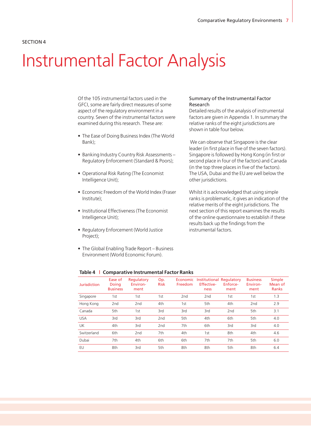## Instrumental Factor Analysis

Of the 105 instrumental factors used in the GFCI, some are fairly direct measures of some aspect of the regulatory environment in a country. Seven of the instrumental factors were examined during this research. These are:

- The Ease of Doing Business Index (The World Bank);
- Banking Industry Country Risk Assessments Regulatory Enforcement (Standard & Poors);
- Operational Risk Rating (The Economist Intelligence Unit);
- Economic Freedom of the World Index (Fraser Institute);
- Institutional Effectiveness (The Economist Intelligence Unit);
- Regulatory Enforcement (World Justice Project);
- The Global Enabling Trade Report Business Environment (World Economic Forum).

#### Summary of the Instrumental Factor Research

Detailed results of the analysis of instrumental factors are given in Appendix 1. In summary the relative ranks of the eight jurisdictions are shown in table four below.

We can observe that Singapore is the clear leader (in first place in five of the seven factors). Singapore is followed by Hong Kong (in first or second place in four of the factors) and Canada (in the top three places in five of the factors). The USA, Dubai and the EU are well below the other jurisdictions.

Whilst it is acknowledged that using simple ranks is problematic, it gives an indication of the relative merits of the eight jurisdictions. The next section of this report examines the results of the online questionnaire to establish if these results back up the findings from the instrumental factors.

| <b>Jurisdiction</b> | Ease of<br>Doing<br><b>Business</b> | Regulatory<br>Environ-<br>ment | Op.<br><b>Risk</b> | Freedom         | Economic Institutional Regulatory<br><b>Effective-</b><br>ness | Enforce-<br>ment | <b>Business</b><br>Environ-<br>ment | Simple<br>Mean of<br>Ranks |
|---------------------|-------------------------------------|--------------------------------|--------------------|-----------------|----------------------------------------------------------------|------------------|-------------------------------------|----------------------------|
| Singapore           | 1st                                 | 1st                            | 1st                | 2 <sub>nd</sub> | 2 <sub>nd</sub>                                                | 1st              | 1st                                 | 1.3                        |
| Hong Kong           | 2 <sub>nd</sub>                     | 2 <sub>nd</sub>                | 4th                | 1st             | 5th                                                            | 4th              | 2 <sub>nd</sub>                     | 2.9                        |
| Canada              | 5th                                 | 1st                            | 3rd                | 3rd             | 3rd                                                            | 2 <sub>nd</sub>  | 5th                                 | 3.1                        |
| <b>USA</b>          | 3rd                                 | 3rd                            | 2 <sub>nd</sub>    | 5th             | 4th                                                            | 6th              | 5th                                 | 4.0                        |
| UK                  | 4th                                 | 3rd                            | 2 <sub>nd</sub>    | 7th             | 6th                                                            | 3rd              | 3rd                                 | 4.0                        |
| Switzerland         | 6th                                 | 2 <sub>nd</sub>                | 7th                | 4th             | 1st                                                            | 8th              | 4th                                 | 4.6                        |
| Dubai               | 7th                                 | 4th                            | 6th                | 6th             | 7th                                                            | 7th              | 5th                                 | 6.0                        |
| EU                  | 8th                                 | 3rd                            | 5th                | 8th             | 8th                                                            | 5th              | 8th                                 | 6.4                        |
|                     |                                     |                                |                    |                 |                                                                |                  |                                     |                            |

#### **Table 4 | Comparative Instrumental Factor Ranks**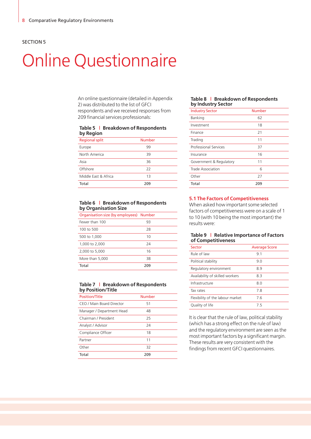# Online Questionnaire

An online questionnaire (detailed in Appendix 2) was distributed to the list of GFCI respondents and we received responses from 209 financial services professionals:

#### **Table 5 | Breakdown of Respondents by Region**

| <b>Regional split</b> | <b>Number</b> |
|-----------------------|---------------|
| Europe                | 99            |
| North America         | 39            |
| Asia                  | 36            |
| Offshore              | 22            |
| Middle East & Africa  | 13            |
| Total                 | 209           |

#### **Table 6 | Breakdown of Respondents by Organisation Size**

| Organisation size (by employees) Number |     |  |
|-----------------------------------------|-----|--|
| Fewer than 100                          | 93  |  |
| 100 to 500                              | 28  |  |
| 500 to 1,000                            | 10  |  |
| 1,000 to 2,000                          | 24  |  |
| 2,000 to 5,000                          | 16  |  |
| More than 5,000                         | 38  |  |
| Total                                   | 209 |  |

#### **Table 7 | Breakdown of Respondents by Position/Title**

| <b>Position/Title</b>     | Number |  |
|---------------------------|--------|--|
| CEO / Main Board Director | 51     |  |
| Manager / Department Head | 48     |  |
| Chairman / President      | 25     |  |
| Analyst / Advisor         | 24     |  |
| Compliance Officer        | 18     |  |
| Partner                   | 11     |  |
| Other                     | 32     |  |
| Total                     | 209    |  |

#### **Table 8 | Breakdown of Respondents by Industry Sector**

| -                            |               |  |
|------------------------------|---------------|--|
| <b>Industry Sector</b>       | <b>Number</b> |  |
| Banking                      | 62            |  |
| Investment                   | 18            |  |
| Finance                      | 21            |  |
| Trading                      | 11            |  |
| <b>Professional Services</b> | 37            |  |
| Insurance                    | 16            |  |
| Government & Regulatory      | 11            |  |
| Trade Association            | 6             |  |
| Other                        | 27            |  |
| Total                        | 209           |  |

#### **5.1 The Factors of Competitiveness**

When asked how important some selected factors of competitiveness were on a scale of 1 to 10 (with 10 being the most important) the results were:

#### **Table 9 | Relative Importance of Factors of Competitiveness**

| Sector                           | <b>Average Score</b> |
|----------------------------------|----------------------|
| Rule of law                      | 9.1                  |
| Political stability              | 9.0                  |
| Regulatory environment           | 8.9                  |
| Availability of skilled workers  | 8.3                  |
| Infrastructure                   | 8.0                  |
| Tax rates                        | 78                   |
| Flexibility of the labour market | 76                   |
| Quality of life                  | 75                   |

It is clear that the rule of law, political stability (which has a strong effect on the rule of law) and the regulatory environment are seen as the most important factors by a significant margin. These results are very consistent with the findings from recent GFCI questionnaires.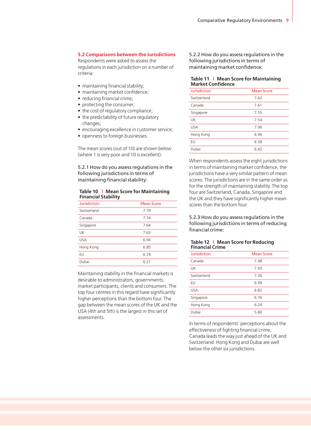## **5.2 Comparisons between the Jurisdictions**

Respondents were asked to assess the regulations in each jurisdiction on a number of criteria:

- maintaining financial stability;
- maintaining market confidence;
- reducing financial crime;
- protecting the consumer;
- the cost of regulatory compliance;
- the predictability of future regulatory changes;
- encouraging excellence in customer service;
- openness to foreign businesses.

The mean scores (out of 10) are shown below (where 1 is very poor and 10 is excellent):

5.2.1 How do you assess regulations in the following jurisdictions in terms of maintaining financial stability:

#### **Table 10 | Mean Score for Maintaining Financial Stability**

| <b>Jurisdiction</b> | <b>Mean Score</b> |
|---------------------|-------------------|
| Switzerland         | 7.79              |
| Canada              | 7.74              |
| Singapore           | 7.64              |
| <b>UK</b>           | 7.63              |
| <b>USA</b>          | 6.94              |
| Hong Kong           | 6.85              |
| EU                  | 6.74              |
| Dubai               | 6.21              |

Maintaining stability in the financial markets is desirable to administrators, governments, market participants, clients and consumers. The top four centres in this regard have significantly higher perceptions than the bottom four. The gap between the mean scores of the UK and the USA (4th and 5th) is the largest in this set of assessments.

5.2.2 How do you assess regulations in the following jurisdictions in terms of maintaining market confidence:

#### **Table 11 | Mean Score for Maintaining Market Confidence**

| <b>Jurisdiction</b> | <b>Mean Score</b> |
|---------------------|-------------------|
| Switzerland         | 7.62              |
| Canada              | 7.61              |
| Singapore           | 7.55              |
| UK                  | 7.54              |
| <b>USA</b>          | 7.06              |
| Hong Kong           | 6.90              |
| EU                  | 6.58              |
| Dubai               | 6.42              |

When respondents assess the eight jurisdictions in terms of maintaining market confidence, the jurisdictions have a very similar pattern of mean scores. The jurisdictions are in the same order as for the strength of maintaining stability. The top four are Switzerland, Canada, Singapore and the UK and they have significantly higher mean scores than the bottom four.

5.2.3 How do you assess regulations in the following jurisdictions in terms of reducing financial crime:

### **Table 12 | Mean Score for Reducing Financial Crime**

| <b>Jurisdiction</b> | <b>Mean Score</b> |
|---------------------|-------------------|
| Canada              | 7.48              |
| UK                  | 7.43              |
| Switzerland         | 7.36              |
| EU                  | 6.99              |
| <b>USA</b>          | 6.82              |
| Singapore           | 6.76              |
| Hong Kong           | 6.24              |
| Dubai               | 5.80              |

In terms of respondents' perceptions about the effectiveness of fighting financial crime, Canada leads the way just ahead of the UK and Switzerland. Hong Kong and Dubai are well below the other six jurisdictions.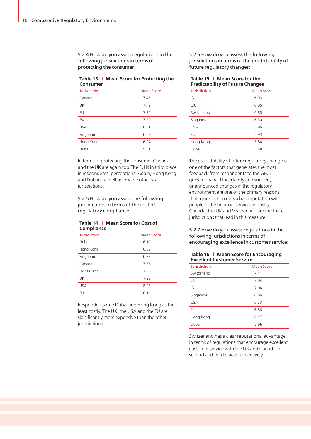5.2.4 How do you assess regulations in the following jurisdictions in terms of protecting the consumer:

#### **Table 13 | Mean Score for Protecting the Consumer**

| <b>Jurisdiction</b> | <b>Mean Score</b> |
|---------------------|-------------------|
| Canada              | 7.43              |
| UK                  | 7.42              |
| EU                  | 7.34              |
| Switzerland         | 7.20              |
| <b>USA</b>          | 6.81              |
| Singapore           | 6.62              |
| Hong Kong           | 6.04              |
| Dubai               | 5.61              |

In terms of protecting the consumer Canada and the UK are again top.The EU is in third place in respondents' perceptions. Again, Hong Kong and Dubai are well below the other six jurisdictions.

#### 5.2.5 How do you assess the following jurisdictions in terms of the cost of regulatory compliance:

#### **Table 14 | Mean Score for Cost of Compliance**

| <b>Jurisdiction</b> | <b>Mean Score</b> |  |
|---------------------|-------------------|--|
| Dubai               | 6.12              |  |
| Hong Kong           | 6.59              |  |
| Singapore           | 6.82              |  |
| Canada              | 7.38              |  |
| Switzerland         | 7.46              |  |
| UK                  | 7.89              |  |
| <b>USA</b>          | 8.03              |  |
| EU                  | 8.14              |  |
|                     |                   |  |

Respondents rate Dubai and Hong Kong as the least costly. The UK, the USA and the EU are significantly more expensive than the other jurisdictions.

5.2.6 How do you assess the following jurisdictions in terms of the predictability of future regulatory changes:

#### **Table 15 | Mean Score for the Predictability of Future Changes**

| <b>Jurisdiction</b> | <b>Mean Score</b> |
|---------------------|-------------------|
| Canada              | 6.93              |
| UK                  | 6.85              |
| Switzerland         | 6.85              |
| Singapore           | 6.30              |
| <b>USA</b>          | 5.96              |
| EU                  | 5.93              |
| Hong Kong           | 5.84              |
| Dubai               | 5.58              |
|                     |                   |

The predictability of future regulatory change is one of the factors that generates the most feedback from respondents to the GFCI questionnaire. Uncertainty and sudden, unannounced changes in the regulatory environment are one of the primary reasons that a jurisdiction gets a bad reputation with people in the financial services industry. Canada, the UK and Switzerland are the three jurisdictions that lead in this measure.

5.2.7 How do you assess regulations in the following jurisdictions in terms of encouraging excellence in customer service:

#### **Table 16 | Mean Score for Encouraging Excellent Customer Service**

| Jurisdiction | <b>Mean Score</b> |
|--------------|-------------------|
| Switzerland  | 7.41              |
| UK           | 7.04              |
| Canada       | 7.04              |
| Singapore    | 6.86              |
| <b>USA</b>   | 6.73              |
| EU           | 6.56              |
| Hong Kong    | 6.47              |
| Dubai        | 5.96              |

Switzerland has a clear reputational advantage in terms of regulations that encourage excellent customer service with the UK and Canada in second and third places respectively.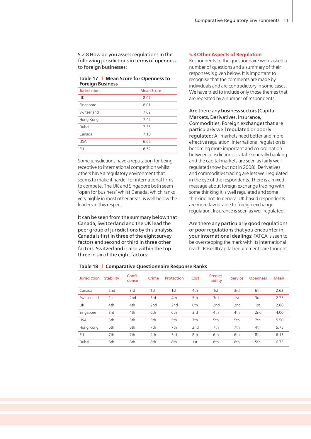5.2.8 How do you assess regulations in the following jurisdictions in terms of openness to foreign businesses:

#### **Table 17 | Mean Score for Openness to Foreign Business**

| Jurisdiction | <b>Mean Score</b> |
|--------------|-------------------|
| UK           | 8.07              |
| Singapore    | 8.01              |
| Switzerland  | 7.62              |
| Hong Kong    | 7.45              |
| Dubai        | 7.35              |
| Canada       | 7.10              |
| <b>USA</b>   | 6.65              |
| EU           | 6.52              |

Some jurisdictions have a reputation for being receptive to international competition whilst others have a regulatory environment that seems to make it harder for international firms to compete. The UK and Singapore both seem 'open for business' whilst Canada, which ranks very highly in most other areas, is well below the leaders in this respect.

It can be seen from the summary below that Canada, Switzerland and the UK lead the peer group of jurisdictions by this analysis. Canada is first in three of the eight survey factors and second or third in three other factors. Switzerland is also within the top three in six of the eight factors:

#### **5.3 Other Aspects of Regulation**

Respondents to the questionnaire were asked a number of questions and a summary of their responses is given below. It is important to recognise that the comments are made by individuals and are contradictory in some cases. We have tried to include only those themes that are repeated by a number of respondents:

Are there any business sectors (Capital Markets, Derivatives, Insurance, Commodities, Foreign exchange) that are particularly well regulated or poorly regulated: All markets need better and more effective regulation. International regulation is becoming more important and co-ordination between jurisdictions is vital. Generally banking and the capital markets are seen as fairly well regulated (now but not in 2008). Derivatives and commodities trading are less well regulated in the eye of the respondents. There is a mixed message about foreign exchange trading with some thinking it is well regulated and some thinking not. In general UK based respondents are more favourable to foreign exchange regulation. Insurance is seen as well regulated.

Are there any particularly good regulations or poor regulations that you encounter in your international dealings: FATCA is seen to be overstepping the mark with its international reach. Basel III capital requirements are thought

| <b>Jurisdiction</b> | <b>Stability</b> | Confi-<br>dence | Crime           | Protection      | Cost            | Predict-<br>ability | <b>Service</b>  | <b>Openness</b> | Mean |
|---------------------|------------------|-----------------|-----------------|-----------------|-----------------|---------------------|-----------------|-----------------|------|
| Canada              | 2 <sub>nd</sub>  | 3rd             | 1st             | 1st             | 4th             | 1st                 | 3rd             | 6th             | 2.63 |
| Switzerland         | 1st              | 2 <sub>nd</sub> | 3rd             | 4th             | 5th             | 3rd                 | 1st             | 3rd             | 2.75 |
| <b>UK</b>           | 4th              | 4th             | 2 <sub>nd</sub> | 2 <sub>nd</sub> | 6th             | 2 <sub>nd</sub>     | 2 <sub>nd</sub> | 1st             | 2.88 |
| Singapore           | 3rd              | 4th             | 6th             | 6th             | 3rd             | 4th                 | 4th             | 2 <sub>nd</sub> | 4.00 |
| <b>USA</b>          | 5th              | 5th             | 5th             | 5th             | 7th             | 5th                 | 5th             | 7th             | 5.50 |
| Hong Kong           | 6th              | 6th             | 7th             | 7th             | 2 <sub>nd</sub> | 7th                 | 7th             | 4th             | 5.75 |
| EU                  | 7th              | 7th             | 4th             | 3rd             | 8th             | 6th                 | 6th             | 8th             | 6.13 |
| Dubai               | 8th              | 8th             | 8th             | 8th             | 1st             | 8th                 | 8th             | 5th             | 6.75 |

## **Table 18 | Comparative Questionnaire Response Ranks**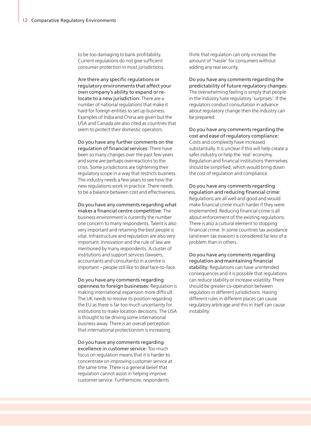to be too damaging to bank profitability. Current regulations do not give sufficient consumer protection in most jurisdictions.

Are there any specific regulations or regulatory environments that affect your own company's ability to expand or relocate to a new jurisdiction: There are a number of national regulations that make it hard for foreign entities to set up business. Examples of India and China are given but the USA and Canada are also cited as countries that seem to protect their domestic operators.

Do you have any further comments on the regulation of financial services: There have been so many changes over the past few years and some are perhaps overreactions to the crisis. Some jurisdictions are tightening their regulatory scope in a way that restricts business. The industry needs a few years to see how the new regulations work in practice. There needs to be a balance between cost and effectiveness.

Do you have any comments regarding what makes a financial centre competitive: The business environment is currently the number one concern to many respondents. Talent is also very important and retaining the best people is vital. Infrastructure and reputation are also very important. Innovation and the rule of law are mentioned by many respondents. A cluster of institutions and support services (lawyers, accountants and consultants) in a centre is important – people still like to deal face-to-face.

Do you have any comments regarding openness to foreign businesses: Regulation is making international expansion more difficult. The UK needs to resolve its position regarding the EU as there is far too much uncertainty for institutions to make location decisions. The USA is thought to be driving some international business away. There is an overall perception that international protectionism is increasing.

Do you have any comments regarding excellence in customer service: Too much focus on regulation means that it is harder to concentrate on improving customer service at the same time. There is a general belief that regulation cannot assist in helping improve customer service. Furthermore, respondents

think that regulation can only increase the amount of 'hassle' for consumers without adding any real security.

Do you have any comments regarding the predictability of future regulatory changes: The overwhelming feeling is simply that people in the industry hate regulatory 'surprises'. If the regulators conduct consultation in advance about regulatory change then the industry can be prepared.

Do you have any comments regarding the cost and ease of regulatory compliance: Costs and complexity have increased substantially. It is unclear if this will help create a safer industry or help the 'real' economy. Regulation and financial institutions themselves should be simplified, which would bring down the cost of regulation and compliance.

Do you have any comments regarding regulation and reducing financial crime: Regulations are all well and good and would make financial crime much harder if they were implemented. Reducing financial crime is all about enforcement of the existing regulations. There is also a cultural element to stopping financial crime. In some countries tax avoidance (and even tax evasion) is considered far less of a problem than in others.

Do you have any comments regarding regulation and maintaining financial stability: Regulations can have unintended consequences and it is possible that regulations can reduce stability or increase volatility. There should be greater co-operation between regulators in different jurisdictions. Having different rules in different places can cause regulatory arbitrage and this in itself can cause instability.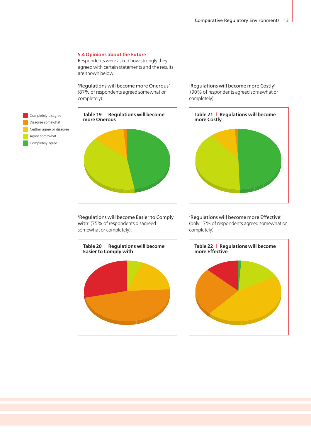## **5.4 Opinions about the Future**

Respondents were asked how strongly they agreed with certain statements and the results are shown below:

'Regulations will become more Onerous'

(87% of respondents agreed somewhat or completely):





'Regulations will become Easier to Comply with' (75% of respondents disagreed somewhat or completely):



'Regulations will become more Costly' (90% of respondents agreed somewhat or completely):



'Regulations will become more Effective' (only 17% of respondents agreed somewhat or completely):

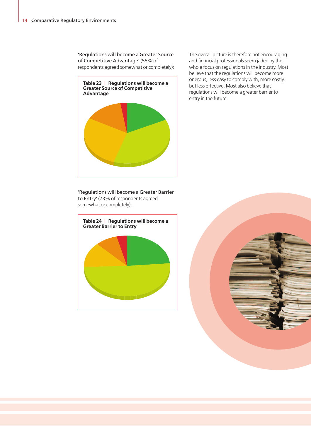'Regulations will become a Greater Source of Competitive Advantage' (55% of respondents agreed somewhat or completely):



'Regulations will become a Greater Barrier to Entry' (73% of respondents agreed somewhat or completely):



The overall picture is therefore not encouraging and financial professionals seem jaded by the whole focus on regulations in the industry. Most believe that the regulations will become more onerous, less easy to comply with, more costly, but less effective. Most also believe that regulations will become a greater barrier to entry in the future.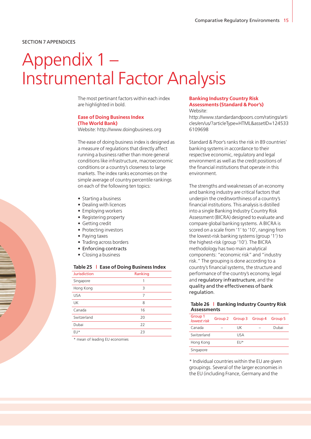#### SECTION 7 APPENDICES

# Appendix 1 – Instrumental Factor Analysis

The most pertinant factors within each index are highlighted in bold.

## **Ease of Doing Business Index (The World Bank)**

Website: http://www.doingbusiness.org

The ease of doing business index is designed as a measure of regulations that directly affect running a business rather than more general conditions like infrastructure, macroeconomic conditions or a country's closeness to large markets. The index ranks economies on the simple average of country percentile rankings on each of the following ten topics:

- Starting a business
- Dealing with licences
- Employing workers
- Registering property
- Getting credit
- Protecting investors
- Paying taxes
- Trading across borders
- Enforcing contracts
- Closing a business

#### **Table 25 | Ease of Doing Business Index**

| <b>Jurisdiction</b> | Ranking |
|---------------------|---------|
| Singapore           | 1       |
| Hong Kong           | 3       |
| <b>USA</b>          | 7       |
| UK                  | 8       |
| Canada              | 16      |
| Switzerland         | 20      |
| Dubai               | 22      |
| EU*                 | 23      |

\* mean of leading EU economies

#### **Banking Industry Country Risk Assessments (Standard & Poor's)** Website:

http://www.standardandpoors.com/ratings/arti cles/en/us/?articleType=HTML&assetID=124533 6109698

Standard & Poor's ranks the risk in 89 countries' banking systems in accordance to their respective economic, regulatory and legal environment as well as the credit positions of the financial institutions that operate in this environment.

The strengths and weaknesses of an economy and banking industry are critical factors that underpin the creditworthiness of a country's financial institutions. This analysis is distilled into a single Banking Industry Country Risk Assessment (BICRA) designed to evaluate and compare global banking systems. A BICRA is scored on a scale from '1' to '10', ranging from the lowest-risk banking systems (group '1') to the highest-risk (group '10'). The BICRA methodology has two main analytical components: "economic risk" and "industry risk." The grouping is done according to a country's financial systems, the structure and performance of the country's economy, legal and regulatory infrastructure, and the quality and the effectiveness of bank regulation.

#### **Table 26 | Banking Industry Country Risk Assessments**

| Group 1<br><b>lowest risk</b> | Group 2 Group 3 Group 4 Group 5 |       |
|-------------------------------|---------------------------------|-------|
| Canada                        | UK                              | Dubai |
| Switzerland                   | USA                             |       |
| Hong Kong                     | FU*                             |       |
| Singapore                     |                                 |       |

\* Individual countries within the EU are given groupings. Several of the larger economies in the EU (including France, Germany and the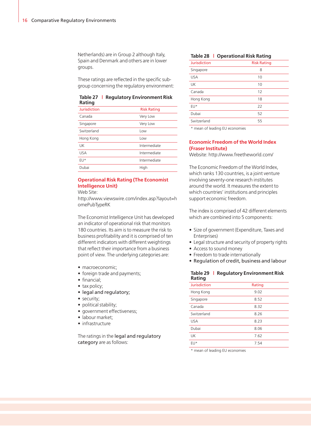Netherlands) are in Group 2 although Italy, Spain and Denmark and others are in lower groups.

These ratings are reflected in the specific subgroup concerning the regulatory environment:

#### **Table 27 | Regulatory Environment Risk Rating**

| Jurisdiction | <b>Risk Rating</b> |
|--------------|--------------------|
| Canada       | Very Low           |
| Singapore    | Very Low           |
| Switzerland  | Low                |
| Hong Kong    | Low                |
| UK           | Intermediate       |
| <b>USA</b>   | Intermediate       |
| FU*          | Intermediate       |
| Dubai        | High               |

## **Operational Risk Rating (The Economist Intelligence Unit)**

Web Site:

http://www.viewswire.com/index.asp?layout=h omePubTypeRK

The Economist Intelligence Unit has developed an indicator of operational risk that monitors 180 countries. Its aim is to measure the risk to business profitability and it is comprised of ten different indicators with different weightings that reflect their importance from a business point of view. The underlying categories are:

- macroeconomic;
- foreign trade and payments;
- financial;
- tax policy;
- legal and regulatory;
- security:
- political stability;
- government effectiveness;
- labour market;
- infrastructure

The ratings in the legal and regulatory category are as follows:

#### **Table 28 | Operational Risk Rating**

| <b>Jurisdiction</b> | <b>Risk Rating</b> |
|---------------------|--------------------|
| Singapore           | 8                  |
| <b>USA</b>          | 10                 |
| UK                  | 10                 |
| Canada              | 12                 |
| Hong Kong           | 18                 |
| EU*                 | 22                 |
| Dubai               | 52                 |
| Switzerland         | 55                 |

\* mean of leading EU economies

### **Economic Freedom of the World Index (Fraser Institute)**

Website: http://www.freetheworld.com/

The Economic Freedom of the World Index, which ranks 130 countries, is a joint venture involving seventy-one research institutes around the world. It measures the extent to which countries' institutions and principles support economic freedom.

The index is comprised of 42 different elements which are combined into 5 components:

- Size of government (Expenditure, Taxes and Enterprises)
- Legal structure and security of property rights
- Access to sound money
- Freedom to trade internationally
- Regulation of credit, business and labour

#### **Table 29 | Regulatory Environment Risk Rating**

| Jurisdiction | Rating |
|--------------|--------|
| Hong Kong    | 9.02   |
| Singapore    | 8.52   |
| Canada       | 8.32   |
| Switzerland  | 8.26   |
| <b>USA</b>   | 8.23   |
| Dubai        | 8.06   |
| UK           | 7.62   |
| FU*          | 7.54   |

\* mean of leading EU economies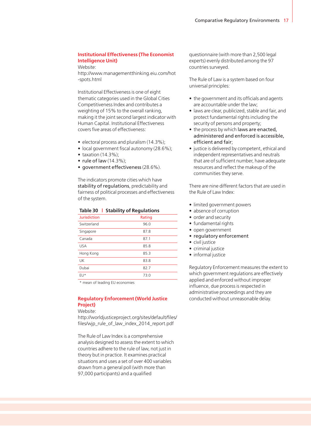## **Institutional Effectiveness (The Economist Intelligence Unit)**

Website:

http://www.managementthinking.eiu.com/hot -spots.html

Institutional Effectiveness is one of eight thematic categories used in the Global Cities Competitiveness Index and contributes a weighting of 15% to the overall ranking, making it the joint second largest indicator with Human Capital. Institutional Effectiveness covers five areas of effectiveness:

- electoral process and pluralism (14.3%);
- local government fiscal autonomy (28.6%);
- $\bullet$  taxation (14.3%);
- rule of law (14.3%);
- government effectiveness (28.6%).

The indicators promote cities which have stability of regulations, predictability and fairness of political processes and effectiveness of the system.

|              | rapic 50 P Stability of Regulations |
|--------------|-------------------------------------|
| Jurisdiction | Rating                              |
| Switzerland  | 96.0                                |

**Table 30 | Stability of Regulations**

| <b>J</b> VVILLETICITU | JU.U |
|-----------------------|------|
| Singapore             | 87.8 |
| Canada                | 87.1 |
| <b>USA</b>            | 85.8 |
| Hong Kong             | 85.3 |
| UK                    | 83.8 |
| Dubai                 | 82.7 |
| EU*                   | 73.0 |

\* mean of leading EU economies

#### **Regulatory Enforcement (World Justice Project)**

Website:

http://worldjusticeproject.org/sites/default/files/ files/wip\_rule\_of\_law\_index\_2014\_report.pdf

The Rule of Law Index is a comprehensive analysis designed to assess the extent to which countries adhere to the rule of law, not just in theory but in practice. It examines practical situations and uses a set of over 400 variables drawn from a general poll (with more than 97,000 participants) and a qualified

questionnaire (with more than 2,500 legal experts) evenly distributed among the 97 countries surveyed.

The Rule of Law is a system based on four universal principles:

- the government and its officials and agents are accountable under the law;
- laws are clear, publicized, stable and fair, and protect fundamental rights including the security of persons and property;
- the process by which laws are enacted, administered and enforced is accessible, efficient and fair;
- justice is delivered by competent, ethical and independent representatives and neutrals that are of sufficient number, have adequate resources and reflect the makeup of the communities they serve.

There are nine different factors that are used in the Rule of Law Index:

- limited government powers
- absence of corruption
- order and security
- fundamental rights
- open government
- regulatory enforcement
- civil justice
- criminal justice
- informal justice

Regulatory Enforcement measures the extent to which government regulations are effectively applied and enforced without improper influence, due process is respected in administrative proceedings and they are conducted without unreasonable delay.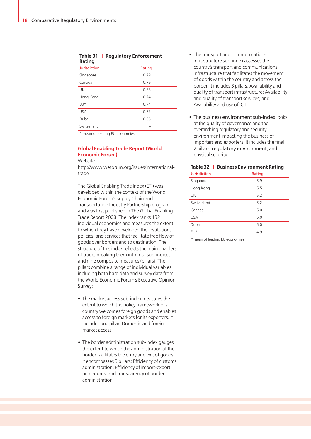#### **Table 31 | Regulatory Enforcement Rating**

| Jurisdiction | Rating |
|--------------|--------|
| Singapore    | 0.79   |
| Canada       | 0.79   |
| UK           | 0.78   |
| Hong Kong    | 0.74   |
| EU*          | 0.74   |
| USA          | 0.67   |
| Dubai        | 0.66   |
| Switzerland  |        |

\* mean of leading EU economies

## **Global Enabling Trade Report (World Economic Forum)**

Website:

http://www.weforum.org/issues/internationaltrade

The Global Enabling Trade Index (ETI) was developed within the context of the World Economic Forum's Supply Chain and Transportation Industry Partnership program and was first published in The Global Enabling Trade Report 2008. The index ranks 132 individual economies and measures the extent to which they have developed the institutions, policies, and services that facilitate free flow of goods over borders and to destination. The structure of this index reflects the main enablers of trade, breaking them into four sub-indices and nine composite measures (pillars). The pillars combine a range of individual variables including both hard data and survey data from the World Economic Forum's Executive Opinion Survey:

- The market access sub-index measures the extent to which the policy framework of a country welcomes foreign goods and enables access to foreign markets for its exporters. It includes one pillar: Domestic and foreign market access
- The border administration sub-index gauges the extent to which the administration at the border facilitates the entry and exit of goods. It encompasses 3 pillars: Efficiency of customs administration; Efficiency of import-export procedures; and Transparency of border administration
- The transport and communications infrastructure sub-index assesses the country's transport and communications infrastructure that facilitates the movement of goods within the country and across the border. It includes 3 pillars: Availability and quality of transport infrastructure; Availability and quality of transport services; and Availability and use of ICT.
- The business environment sub-index looks at the quality of governance and the overarching regulatory and security environment impacting the business of importers and exporters. It includes the final 2 pillars: regulatory environment; and physical security.

**Table 32 | Business Environment Rating**

| <b>Jurisdiction</b> | Rating |
|---------------------|--------|
| Singapore           | 5.9    |
| Hong Kong           | 5.5    |
| UK                  | 5.2    |
| Switzerland         | 5.2    |
| Canada              | 5.0    |
| <b>USA</b>          | 5.0    |
| Dubai               | 5.0    |
| EU*                 | 4.9    |
|                     |        |

\* mean of leading EU economies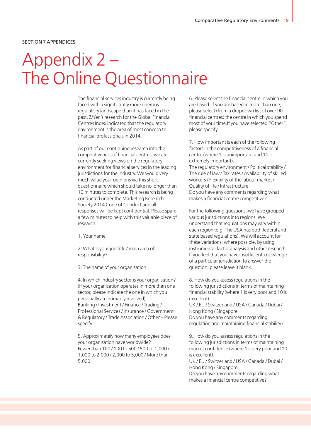#### SECTION 7 APPENDICES

# Appendix 2 – The Online Questionnaire

The financial services industry is currently being faced with a significantly more onerous regulatory landscape than it has faced in the past. Z/Yen's research for the Global Financial Centres Index indicated that the regulatory environment is the area of most concern to financial professionals in 2014.

As part of our continuing research into the competitiveness of financial centres, we are currently seeking views on the regulatory environment for financial services in the leading jurisdictions for the industry. We would very much value your opinions via this short questionnaire which should take no longer than 10 minutes to complete. This research is being conducted under the Marketing Research Society 2014 Code of Conduct and all responses will be kept confidential. Please spare a few minutes to help with this valuable piece of research.

1. Your name

2. What is your job title / main area of responsibility?

3. The name of your organisation

4. In which industry sector is your organisation? (If your organisation operates in more than one sector, please indicate the one in which you personally are primarily involved). Banking / Investment / Finance / Trading / Professional Services / Insurance / Government & Regulatory / Trade Association / Other – Please specify

5. Approximately how many employees does your organisation have worldwide? Fewer than 100 / 100 to 500 / 500 to 1,000 / 1,000 to 2,000 / 2,000 to 5,000 / More than 5,000

6. Please select the financial centre in which you are based. If you are based in more than one, please select (from a dropdown list of over 90 financial centres) the centre in which you spend most of your time.If you have selected "Other", please specify.

7. How important is each of the following factors in the competitiveness of a financial centre (where 1 is unimportant and 10 is extremely important): The regulatory environment / Political stability / The rule of law / Tax rates / Availability of skilled workers / Flexibility of the labour market / Quality of life / Infrastructure Do you have any comments regarding what makes a financial centre competitive?

For the following questions, we have grouped various jurisdictions into regions. We understand that regulations may vary within each region (e.g. The USA has both federal and state based regulations). We will account for these variations, where possible, by using instrumental factor analysis and other research. If you feel that you have insufficient knowledge of a particular jurisdiction to answer the question, please leave it blank.

8. How do you assess regulations in the following jurisdictions in terms of maintaining financial stability (where 1 is very poor and 10 is excellent): UK / EU / Switzerland / USA / Canada / Dubai / Hong Kong / Singapore Do you have any comments regarding regulation and maintaining financial stability?

9. How do you assess regulations in the following jurisdictions in terms of maintaining market confidence (where 1 is very poor and 10 is excellent): UK / EU / Switzerland / USA / Canada / Dubai / Hong Kong / Singapore Do you have any comments regarding what makes a financial centre competitive?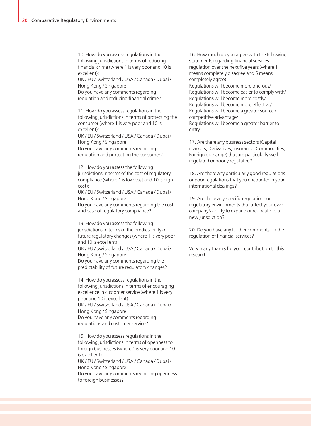10. How do you assess regulations in the following jurisdictions in terms of reducing financial crime (where 1 is very poor and 10 is excellent):

UK / EU / Switzerland / USA / Canada / Dubai / Hong Kong / Singapore Do you have any comments regarding regulation and reducing financial crime?

11. How do you assess regulations in the following jurisdictions in terms of protecting the consumer (where 1 is very poor and 10 is excellent):

UK / EU / Switzerland / USA / Canada / Dubai / Hong Kong / Singapore Do you have any comments regarding regulation and protecting the consumer?

12. How do you assess the following jurisdictions in terms of the cost of regulatory compliance (where 1 is low cost and 10 is high cost):

UK / EU / Switzerland / USA / Canada / Dubai / Hong Kong / Singapore Do you have any comments regarding the cost

and ease of regulatory compliance?

13. How do you assess the following jurisdictions in terms of the predictability of future regulatory changes (where 1 is very poor and 10 is excellent):

UK / EU / Switzerland / USA / Canada / Dubai / Hong Kong / Singapore Do you have any comments regarding the predictability of future regulatory changes?

14. How do you assess regulations in the following jurisdictions in terms of encouraging excellence in customer service (where 1 is very poor and 10 is excellent): UK / EU / Switzerland / USA / Canada / Dubai / Hong Kong / Singapore Do you have any comments regarding regulations and customer service?

15. How do you assess regulations in the following jurisdictions in terms of openness to foreign businesses (where 1 is very poor and 10 is excellent): UK / EU / Switzerland / USA / Canada / Dubai / Hong Kong / Singapore Do you have any comments regarding openness to foreign businesses?

16. How much do you agree with the following statements regarding financial services regulation over the next five years (where 1 means completely disagree and 5 means completely agree):

Regulations will become more onerous/ Regulations will become easier to comply with/ Regulations will become more costly/ Regulations will become more effective/ Regulations will become a greater source of competitive advantage/ Regulations will become a greater barrier to entry

17. Are there any business sectors (Capital markets, Derivatives, Insurance, Commodities, Foreign exchange) that are particularly well regulated or poorly regulated?

18. Are there any particularly good regulations or poor regulations that you encounter in your international dealings?

19. Are there any specific regulations or regulatory environments that affect your own company's ability to expand or re-locate to a new jurisdiction?

20. Do you have any further comments on the regulation of financial services?

Very many thanks for your contribution to this research.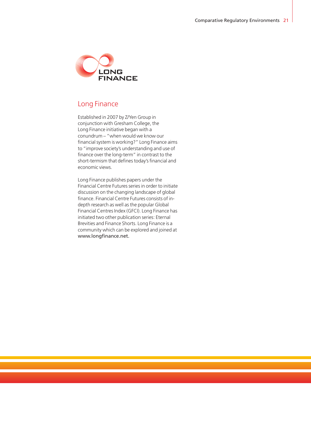

## Long Finance

Established in 2007 by Z/Yen Group in conjunction with Gresham College, the Long Finance initiative began with a conundrum – "when would we know our financial system is working?" Long Finance aims to "improve society's understanding and use of finance over the long-term" in contrast to the short-termism that defines today's financial and economic views.

Long Finance publishes papers under the Financial Centre Futures series in order to initiate discussion on the changing landscape of global finance. Financial Centre Futures consists of indepth research as well as the popular Global Financial Centres Index (GFCI). Long Finance has initiated two other publication series: Eternal Brevities and Finance Shorts. Long Finance is a community which can be explored and joined at [www.longfinance.net.](www.longfinance.net)